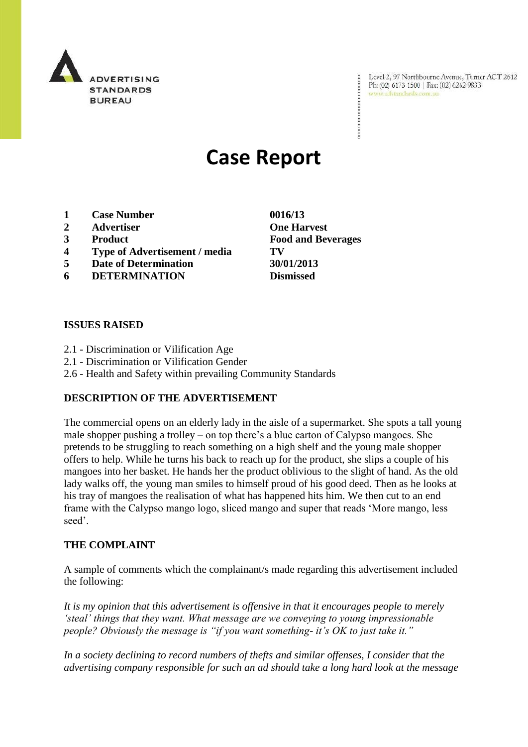

Level 2, 97 Northbourne Avenue, Turner ACT 2612 Ph: (02) 6173 1500 | Fax: (02) 6262 9833 www.adstandards.com.au

# **Case Report**

- **1 Case Number 0016/13**
- **2 Advertiser One Harvest**
- 
- **4 Type of Advertisement / media TV**
- **5 Date of Determination 30/01/2013**
- **6 DETERMINATION Dismissed**

## **ISSUES RAISED**

- 2.1 Discrimination or Vilification Age
- 2.1 Discrimination or Vilification Gender
- 2.6 Health and Safety within prevailing Community Standards

## **DESCRIPTION OF THE ADVERTISEMENT**

The commercial opens on an elderly lady in the aisle of a supermarket. She spots a tall young male shopper pushing a trolley – on top there"s a blue carton of Calypso mangoes. She pretends to be struggling to reach something on a high shelf and the young male shopper offers to help. While he turns his back to reach up for the product, she slips a couple of his mangoes into her basket. He hands her the product oblivious to the slight of hand. As the old lady walks off, the young man smiles to himself proud of his good deed. Then as he looks at his tray of mangoes the realisation of what has happened hits him. We then cut to an end frame with the Calypso mango logo, sliced mango and super that reads "More mango, less seed".

#### **THE COMPLAINT**

A sample of comments which the complainant/s made regarding this advertisement included the following:

*It is my opinion that this advertisement is offensive in that it encourages people to merely "steal" things that they want. What message are we conveying to young impressionable people? Obviously the message is "if you want something- it's OK to just take it."* 

*In a society declining to record numbers of thefts and similar offenses, I consider that the advertising company responsible for such an ad should take a long hard look at the message* 

**3 Product Food and Beverages**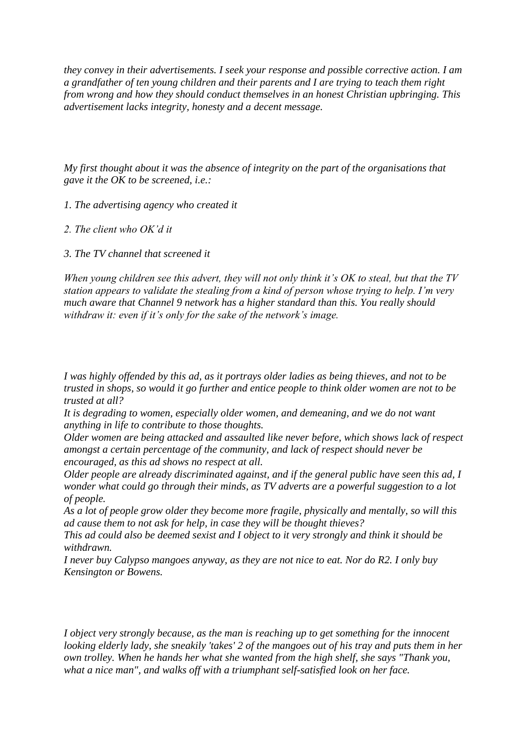*they convey in their advertisements. I seek your response and possible corrective action. I am a grandfather of ten young children and their parents and I are trying to teach them right from wrong and how they should conduct themselves in an honest Christian upbringing. This advertisement lacks integrity, honesty and a decent message.*

*My first thought about it was the absence of integrity on the part of the organisations that gave it the OK to be screened, i.e.:*

*1. The advertising agency who created it*

*2. The client who OK"d it*

*3. The TV channel that screened it*

*When young children see this advert, they will not only think it"s OK to steal, but that the TV station appears to validate the stealing from a kind of person whose trying to help. I"m very much aware that Channel 9 network has a higher standard than this. You really should withdraw it: even if it"s only for the sake of the network"s image.*

*I was highly offended by this ad, as it portrays older ladies as being thieves, and not to be trusted in shops, so would it go further and entice people to think older women are not to be trusted at all?*

*It is degrading to women, especially older women, and demeaning, and we do not want anything in life to contribute to those thoughts.*

*Older women are being attacked and assaulted like never before, which shows lack of respect amongst a certain percentage of the community, and lack of respect should never be encouraged, as this ad shows no respect at all.*

*Older people are already discriminated against, and if the general public have seen this ad, I wonder what could go through their minds, as TV adverts are a powerful suggestion to a lot of people.*

*As a lot of people grow older they become more fragile, physically and mentally, so will this ad cause them to not ask for help, in case they will be thought thieves?*

*This ad could also be deemed sexist and I object to it very strongly and think it should be withdrawn.*

*I never buy Calypso mangoes anyway, as they are not nice to eat. Nor do R2. I only buy Kensington or Bowens.*

*I object very strongly because, as the man is reaching up to get something for the innocent looking elderly lady, she sneakily 'takes' 2 of the mangoes out of his tray and puts them in her own trolley. When he hands her what she wanted from the high shelf, she says "Thank you, what a nice man", and walks off with a triumphant self-satisfied look on her face.*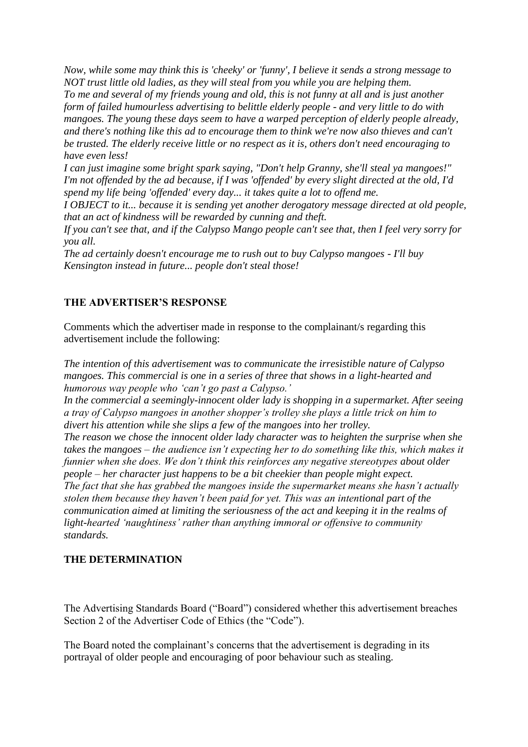*Now, while some may think this is 'cheeky' or 'funny', I believe it sends a strong message to NOT trust little old ladies, as they will steal from you while you are helping them. To me and several of my friends young and old, this is not funny at all and is just another form of failed humourless advertising to belittle elderly people - and very little to do with mangoes. The young these days seem to have a warped perception of elderly people already, and there's nothing like this ad to encourage them to think we're now also thieves and can't be trusted. The elderly receive little or no respect as it is, others don't need encouraging to have even less!*

*I can just imagine some bright spark saying, "Don't help Granny, she'll steal ya mangoes!" I'm not offended by the ad because, if I was 'offended' by every slight directed at the old, I'd spend my life being 'offended' every day... it takes quite a lot to offend me.*

*I OBJECT to it... because it is sending yet another derogatory message directed at old people, that an act of kindness will be rewarded by cunning and theft.*

*If you can't see that, and if the Calypso Mango people can't see that, then I feel very sorry for you all.*

*The ad certainly doesn't encourage me to rush out to buy Calypso mangoes - I'll buy Kensington instead in future... people don't steal those!*

# **THE ADVERTISER'S RESPONSE**

Comments which the advertiser made in response to the complainant/s regarding this advertisement include the following:

*The intention of this advertisement was to communicate the irresistible nature of Calypso mangoes. This commercial is one in a series of three that shows in a light-hearted and humorous way people who "can"t go past a Calypso."*

*In the commercial a seemingly-innocent older lady is shopping in a supermarket. After seeing a tray of Calypso mangoes in another shopper"s trolley she plays a little trick on him to divert his attention while she slips a few of the mangoes into her trolley.*

*The reason we chose the innocent older lady character was to heighten the surprise when she takes the mangoes – the audience isn"t expecting her to do something like this, which makes it funnier when she does. We don"t think this reinforces any negative stereotypes about older people – her character just happens to be a bit cheekier than people might expect. The fact that she has grabbed the mangoes inside the supermarket means she hasn"t actually stolen them because they haven"t been paid for yet. This was an intentional part of the communication aimed at limiting the seriousness of the act and keeping it in the realms of light-hearted "naughtiness" rather than anything immoral or offensive to community standards.*

## **THE DETERMINATION**

The Advertising Standards Board ("Board") considered whether this advertisement breaches Section 2 of the Advertiser Code of Ethics (the "Code").

The Board noted the complainant's concerns that the advertisement is degrading in its portrayal of older people and encouraging of poor behaviour such as stealing.